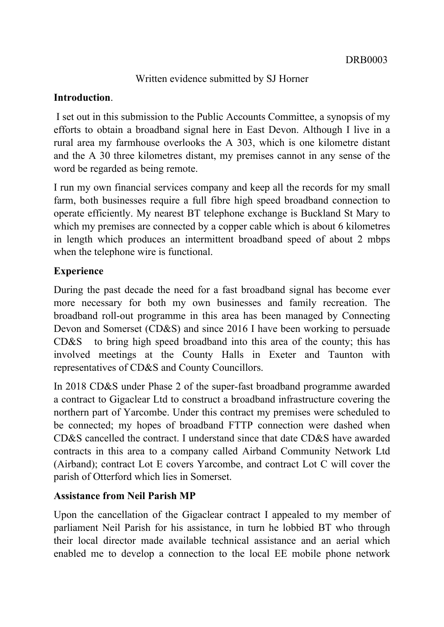### Written evidence submitted by SJ Horner

#### **Introduction**.

I set out in this submission to the Public Accounts Committee, a synopsis of my efforts to obtain a broadband signal here in East Devon. Although I live in a rural area my farmhouse overlooks the A 303, which is one kilometre distant and the A 30 three kilometres distant, my premises cannot in any sense of the word be regarded as being remote.

I run my own financial services company and keep all the records for my small farm, both businesses require a full fibre high speed broadband connection to operate efficiently. My nearest BT telephone exchange is Buckland St Mary to which my premises are connected by a copper cable which is about 6 kilometres in length which produces an intermittent broadband speed of about 2 mbps when the telephone wire is functional.

### **Experience**

During the past decade the need for a fast broadband signal has become ever more necessary for both my own businesses and family recreation. The broadband roll-out programme in this area has been managed by Connecting Devon and Somerset (CD&S) and since 2016 I have been working to persuade CD&S to bring high speed broadband into this area of the county; this has involved meetings at the County Halls in Exeter and Taunton with representatives of CD&S and County Councillors.

In 2018 CD&S under Phase 2 of the super-fast broadband programme awarded a contract to Gigaclear Ltd to construct a broadband infrastructure covering the northern part of Yarcombe. Under this contract my premises were scheduled to be connected; my hopes of broadband FTTP connection were dashed when CD&S cancelled the contract. I understand since that date CD&S have awarded contracts in this area to a company called Airband Community Network Ltd (Airband); contract Lot E covers Yarcombe, and contract Lot C will cover the parish of Otterford which lies in Somerset.

### **Assistance from Neil Parish MP**

Upon the cancellation of the Gigaclear contract I appealed to my member of parliament Neil Parish for his assistance, in turn he lobbied BT who through their local director made available technical assistance and an aerial which enabled me to develop a connection to the local EE mobile phone network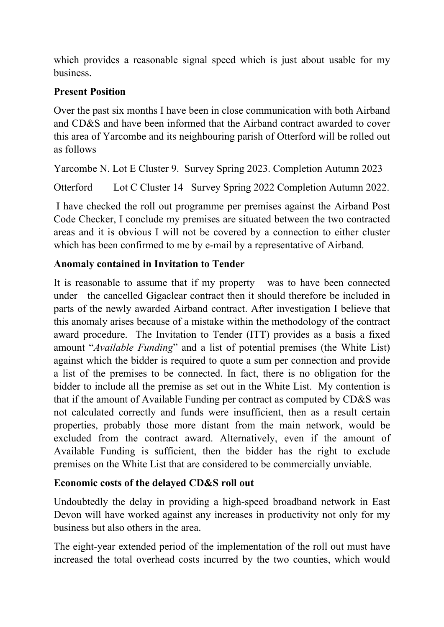which provides a reasonable signal speed which is just about usable for my business.

## **Present Position**

Over the past six months I have been in close communication with both Airband and CD&S and have been informed that the Airband contract awarded to cover this area of Yarcombe and its neighbouring parish of Otterford will be rolled out as follows

Yarcombe N. Lot E Cluster 9. Survey Spring 2023. Completion Autumn 2023

Otterford Lot C Cluster 14 Survey Spring 2022 Completion Autumn 2022.

I have checked the roll out programme per premises against the Airband Post Code Checker, I conclude my premises are situated between the two contracted areas and it is obvious I will not be covered by a connection to either cluster which has been confirmed to me by e-mail by a representative of Airband.

# **Anomaly contained in Invitation to Tender**

It is reasonable to assume that if my property was to have been connected under the cancelled Gigaclear contract then it should therefore be included in parts of the newly awarded Airband contract. After investigation I believe that this anomaly arises because of a mistake within the methodology of the contract award procedure. The Invitation to Tender (ITT) provides as a basis a fixed amount "*Available Funding*" and a list of potential premises (the White List) against which the bidder is required to quote a sum per connection and provide a list of the premises to be connected. In fact, there is no obligation for the bidder to include all the premise as set out in the White List. My contention is that if the amount of Available Funding per contract as computed by CD&S was not calculated correctly and funds were insufficient, then as a result certain properties, probably those more distant from the main network, would be excluded from the contract award. Alternatively, even if the amount of Available Funding is sufficient, then the bidder has the right to exclude premises on the White List that are considered to be commercially unviable.

## **Economic costs of the delayed CD&S roll out**

Undoubtedly the delay in providing a high-speed broadband network in East Devon will have worked against any increases in productivity not only for my business but also others in the area.

The eight-year extended period of the implementation of the roll out must have increased the total overhead costs incurred by the two counties, which would